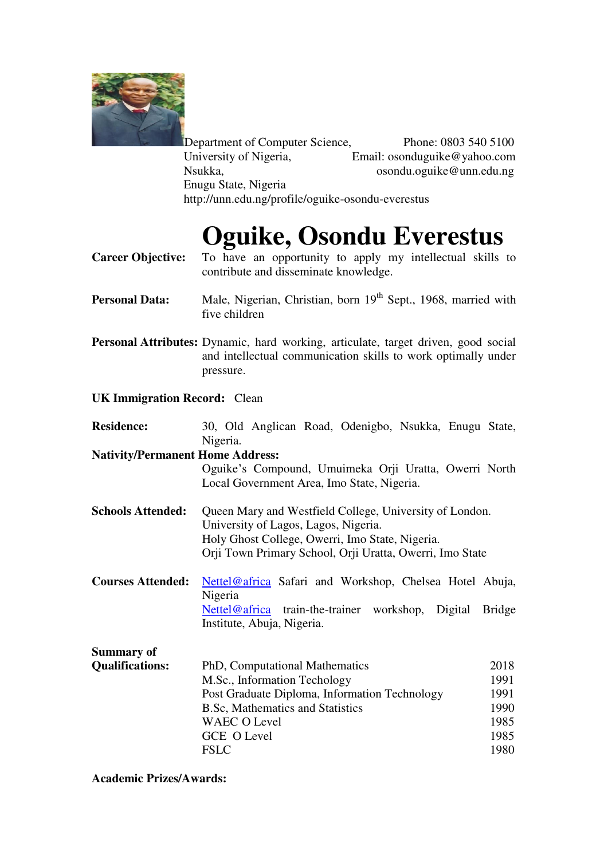

Department of Computer Science,<br>University of Nigeria, Email: osonduguike@yahoo.com University of Nigeria,<br>
Email: osonduguike@yahoo.com<br>
Sondu.oguike@unn.edu.ng osondu.oguike@unn.edu.ng Enugu State, Nigeria http://unn.edu.ng/profile/oguike-osondu-everestus

# **Oguike, Osondu Everestus**

- **Career Objective:** To have an opportunity to apply my intellectual skills to contribute and disseminate knowledge.
- Personal Data: Male, Nigerian, Christian, born 19<sup>th</sup> Sept., 1968, married with five children
- **Personal Attributes:** Dynamic, hard working, articulate, target driven, good social and intellectual communication skills to work optimally under pressure.

### **UK Immigration Record:** Clean

| <b>Residence:</b>                       | 30, Old Anglican Road, Odenigbo, Nsukka, Enugu State,                                           |               |  |
|-----------------------------------------|-------------------------------------------------------------------------------------------------|---------------|--|
|                                         | Nigeria.                                                                                        |               |  |
| <b>Nativity/Permanent Home Address:</b> |                                                                                                 |               |  |
|                                         | Oguike's Compound, Umuimeka Orji Uratta, Owerri North                                           |               |  |
|                                         | Local Government Area, Imo State, Nigeria.                                                      |               |  |
| <b>Schools Attended:</b>                | Queen Mary and Westfield College, University of London.<br>University of Lagos, Lagos, Nigeria. |               |  |
|                                         | Holy Ghost College, Owerri, Imo State, Nigeria.                                                 |               |  |
|                                         | Orji Town Primary School, Orji Uratta, Owerri, Imo State                                        |               |  |
|                                         |                                                                                                 |               |  |
| <b>Courses Attended:</b>                | Nettel@africa Safari and Workshop, Chelsea Hotel Abuja,                                         |               |  |
|                                         | Nigeria                                                                                         |               |  |
|                                         | Nettel@africa train-the-trainer workshop,<br>Digital                                            | <b>Bridge</b> |  |
|                                         | Institute, Abuja, Nigeria.                                                                      |               |  |
| <b>Summary of</b>                       |                                                                                                 |               |  |
| <b>Qualifications:</b>                  | PhD, Computational Mathematics                                                                  | 2018          |  |
|                                         | M.Sc., Information Techology                                                                    | 1991          |  |
|                                         | Post Graduate Diploma, Information Technology                                                   | 1991          |  |
|                                         | <b>B.Sc, Mathematics and Statistics</b>                                                         | 1990          |  |
|                                         | <b>WAEC O Level</b>                                                                             | 1985          |  |
|                                         | <b>GCE O Level</b>                                                                              | 1985          |  |
|                                         | <b>FSLC</b>                                                                                     | 1980          |  |

### **Academic Prizes/Awards:**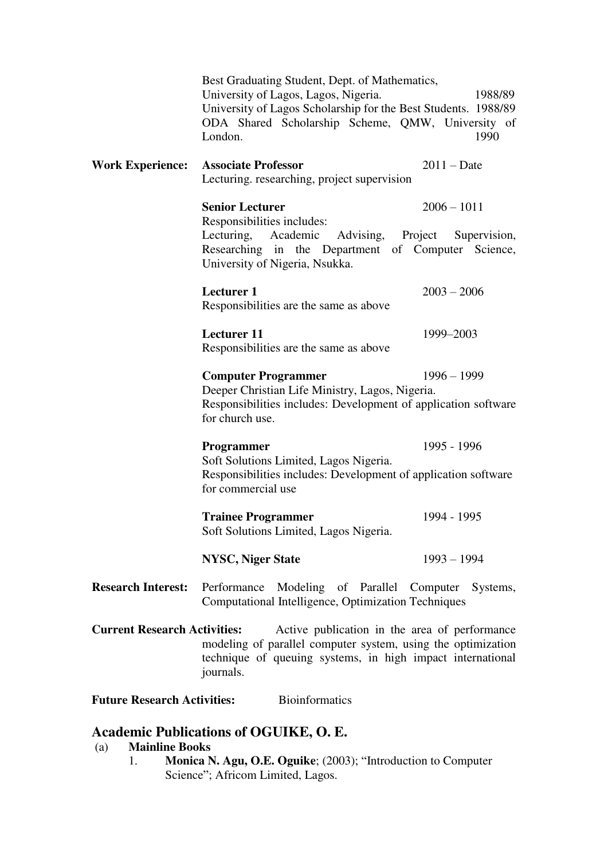|                                                                                                                                                                                                                    | Best Graduating Student, Dept. of Mathematics,<br>University of Lagos, Lagos, Nigeria.<br>University of Lagos Scholarship for the Best Students. 1988/89<br>ODA Shared Scholarship Scheme, QMW, University of<br>London. | 1988/89<br>1990 |  |
|--------------------------------------------------------------------------------------------------------------------------------------------------------------------------------------------------------------------|--------------------------------------------------------------------------------------------------------------------------------------------------------------------------------------------------------------------------|-----------------|--|
| <b>Work Experience:</b>                                                                                                                                                                                            | <b>Associate Professor</b><br>Lecturing. researching, project supervision                                                                                                                                                | $2011 - Date$   |  |
|                                                                                                                                                                                                                    | <b>Senior Lecturer</b><br>Responsibilities includes:<br>Lecturing, Academic Advising, Project Supervision,<br>Researching in the Department of Computer Science,<br>University of Nigeria, Nsukka.                       | $2006 - 1011$   |  |
|                                                                                                                                                                                                                    | <b>Lecturer 1</b><br>Responsibilities are the same as above                                                                                                                                                              | $2003 - 2006$   |  |
|                                                                                                                                                                                                                    | <b>Lecturer</b> 11<br>Responsibilities are the same as above                                                                                                                                                             | 1999-2003       |  |
|                                                                                                                                                                                                                    | <b>Computer Programmer</b><br>Deeper Christian Life Ministry, Lagos, Nigeria.<br>Responsibilities includes: Development of application software<br>for church use.                                                       | $1996 - 1999$   |  |
|                                                                                                                                                                                                                    | Programmer<br>Soft Solutions Limited, Lagos Nigeria.<br>Responsibilities includes: Development of application software<br>for commercial use                                                                             | 1995 - 1996     |  |
|                                                                                                                                                                                                                    | <b>Trainee Programmer</b><br>Soft Solutions Limited, Lagos Nigeria.                                                                                                                                                      | 1994 - 1995     |  |
|                                                                                                                                                                                                                    | <b>NYSC, Niger State</b>                                                                                                                                                                                                 | $1993 - 1994$   |  |
| <b>Research Interest:</b>                                                                                                                                                                                          | Modeling of Parallel Computer Systems,<br>Performance<br>Computational Intelligence, Optimization Techniques                                                                                                             |                 |  |
| <b>Current Research Activities:</b><br>Active publication in the area of performance<br>modeling of parallel computer system, using the optimization<br>technique of queuing systems, in high impact international |                                                                                                                                                                                                                          |                 |  |

**Future Research Activities:** Bioinformatics

journals.

# **Academic Publications of OGUIKE, O. E.**<br>(a) Mainline Books

#### **Mainline Books**

1. **Monica N. Agu, O.E. Oguike**; (2003); "Introduction to Computer Science"; Africom Limited, Lagos.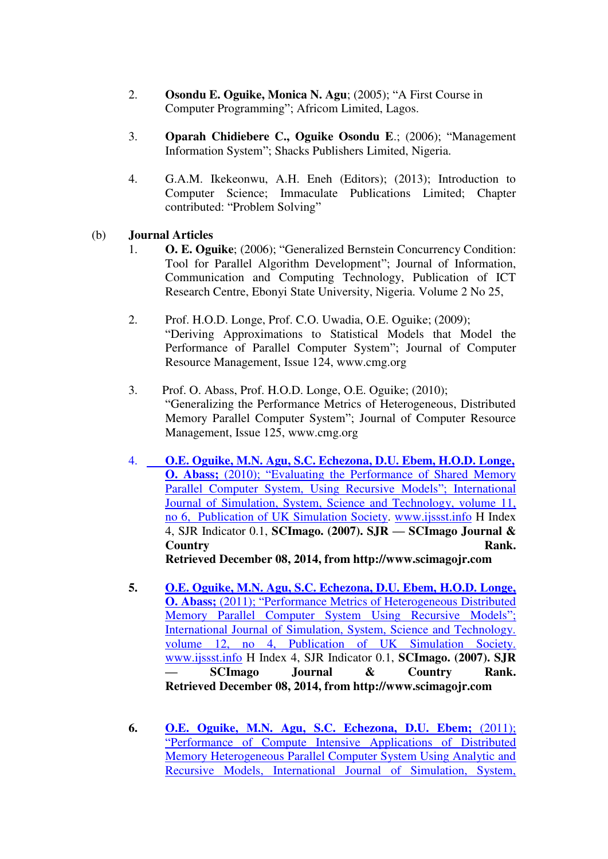- 2. **Osondu E. Oguike, Monica N. Agu**; (2005); "A First Course in Computer Programming"; Africom Limited, Lagos.
- 3. **Oparah Chidiebere C., Oguike Osondu E**.; (2006); "Management Information System"; Shacks Publishers Limited, Nigeria.
- 4. G.A.M. Ikekeonwu, A.H. Eneh (Editors); (2013); Introduction to Computer Science; Immaculate Publications Limited; Chapter contributed: "Problem Solving"

## (b) **Journal Articles**

- 1. **O. E. Oguike**; (2006); "Generalized Bernstein Concurrency Condition: Tool for Parallel Algorithm Development"; Journal of Information, Communication and Computing Technology, Publication of ICT Research Centre, Ebonyi State University, Nigeria. Volume 2 No 25,
- 2. Prof. H.O.D. Longe, Prof. C.O. Uwadia, O.E. Oguike; (2009); "Deriving Approximations to Statistical Models that Model the Performance of Parallel Computer System"; Journal of Computer Resource Management, Issue 124, www.cmg.org
- 3. Prof. O. Abass, Prof. H.O.D. Longe, O.E. Oguike; (2010); "Generalizing the Performance Metrics of Heterogeneous, Distributed Memory Parallel Computer System"; Journal of Computer Resource Management, Issue 125, www.cmg.org
- 4. **[O.E. Oguike, M.N. Agu, S.C. Echezona, D.U. Ebem, H.O.D. Longe,](https://scholar.google.com/scholar?oi=bibs&cluster=5986908008203532546&btnI=1&hl=en)  O. Abass;** (2010); "Evaluating the Performance of Shared Memory [Parallel Computer System, Using Recursive Models](https://scholar.google.com/scholar?oi=bibs&cluster=5986908008203532546&btnI=1&hl=en)"; International [Journal of Simulation, System, Science and Technology, volume 11,](https://scholar.google.com/scholar?oi=bibs&cluster=5986908008203532546&btnI=1&hl=en)  [no 6, Publication of UK Simulation Society.](https://scholar.google.com/scholar?oi=bibs&cluster=5986908008203532546&btnI=1&hl=en) [www.ijssst.info](http://www.ijssst.info/) H Index 4, SJR Indicator 0.1, **SCImago. (2007). SJR — SCImago Journal & Country Rank. Rank. Retrieved December 08, 2014, from http://www.scimagojr.com**
- **5. [O.E. Oguike, M.N. Agu, S.C. Echezona, D.U. Ebem, H.O.D. Longe,](https://scholar.google.com/scholar?oi=bibs&cluster=14714946171257381172&btnI=1&hl=en)  O. Abass;** (2011); "[Performance Metrics of Heterogeneous Distributed](https://scholar.google.com/scholar?oi=bibs&cluster=14714946171257381172&btnI=1&hl=en)  [Memory Parallel Computer System Using Recursive Models](https://scholar.google.com/scholar?oi=bibs&cluster=14714946171257381172&btnI=1&hl=en)"; [International Journal of Simulation, System, Science and Technology.](https://scholar.google.com/scholar?oi=bibs&cluster=14714946171257381172&btnI=1&hl=en)  [volume 12, no 4, Publication of UK Simulation Society.](https://scholar.google.com/scholar?oi=bibs&cluster=14714946171257381172&btnI=1&hl=en) [www.ijssst.info](http://www.ijssst.info/) H Index 4, SJR Indicator 0.1, **SCImago. (2007). SJR — SCImago Journal & Country Rank. Retrieved December 08, 2014, from http://www.scimagojr.com**
- **6. [O.E. Oguike, M.N. Agu, S.C. Echezona, D.U. Ebem;](https://scholar.google.com/scholar?oi=bibs&cluster=18335093014190763503&btnI=1&hl=en)** (2011); "[Performance of Compute Intensive Applications of Distributed](https://scholar.google.com/scholar?oi=bibs&cluster=18335093014190763503&btnI=1&hl=en)  [Memory Heterogeneous Parallel Computer System Using Analytic and](https://scholar.google.com/scholar?oi=bibs&cluster=18335093014190763503&btnI=1&hl=en)  [Recursive Models, International Journal of Simulation, System,](https://scholar.google.com/scholar?oi=bibs&cluster=18335093014190763503&btnI=1&hl=en)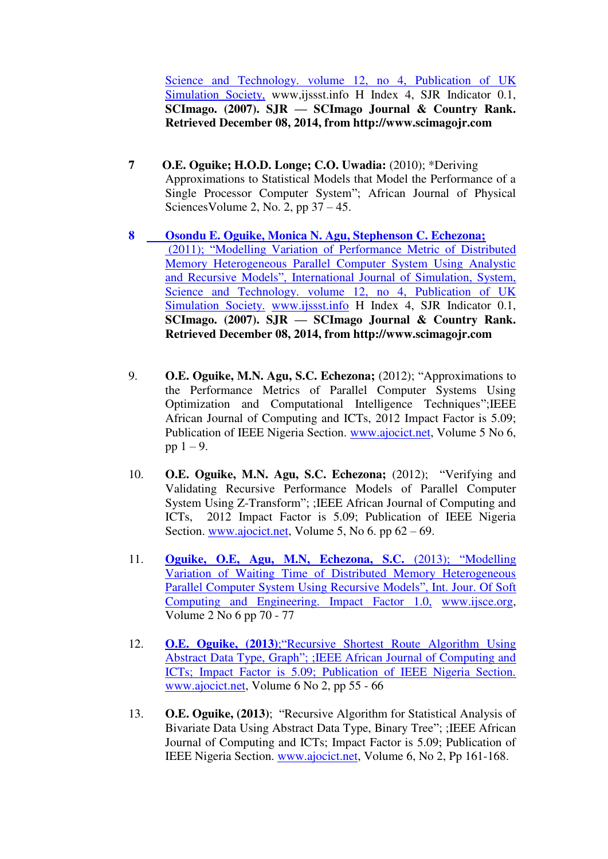Science and Technology. volume 12, no 4, Publication of UK [Simulation Society,](https://scholar.google.com/scholar?oi=bibs&cluster=18335093014190763503&btnI=1&hl=en) www,ijssst.info H Index 4, SJR Indicator 0.1, **SCImago. (2007). SJR — SCImago Journal & Country Rank. Retrieved December 08, 2014, from http://www.scimagojr.com**

- **7 O.E. Oguike; H.O.D. Longe; C.O. Uwadia:** (2010); \*Deriving Approximations to Statistical Models that Model the Performance of a Single Processor Computer System"; African Journal of Physical Sciences Volume 2, No. 2, pp  $37 - 45$ .
- **[8 Osondu E. Oguike, Monica N. Agu, Stephenson C. Echezona;](https://scholar.google.com/scholar?oi=bibs&cluster=3192772845385691613&btnI=1&hl=en)**  (2011); "[Modelling Variation of Performance Metric of Distributed](https://scholar.google.com/scholar?oi=bibs&cluster=3192772845385691613&btnI=1&hl=en)  [Memory Heterogeneous Parallel Computer System Using Analystic](https://scholar.google.com/scholar?oi=bibs&cluster=3192772845385691613&btnI=1&hl=en)  and Recursive Models"[, International Journal of Simulation, System,](https://scholar.google.com/scholar?oi=bibs&cluster=3192772845385691613&btnI=1&hl=en)  Science and Technology. volume 12, no 4, Publication of UK [Simulation Society.](https://scholar.google.com/scholar?oi=bibs&cluster=3192772845385691613&btnI=1&hl=en) [www.ijssst.info](http://www.ijssst.info/) H Index 4, SJR Indicator 0.1, **SCImago. (2007). SJR — SCImago Journal & Country Rank. Retrieved December 08, 2014, from http://www.scimagojr.com**
- 9. **O.E. Oguike, M.N. Agu, S.C. Echezona;** (2012); "Approximations to the Performance Metrics of Parallel Computer Systems Using Optimization and Computational Intelligence Techniques";IEEE African Journal of Computing and ICTs, 2012 Impact Factor is 5.09; Publication of IEEE Nigeria Section. [www.ajocict.net,](http://www.ajocict.net/) Volume 5 No 6, pp  $1 - 9$ .
- 10. **O.E. Oguike, M.N. Agu, S.C. Echezona;** (2012); "Verifying and Validating Recursive Performance Models of Parallel Computer System Using Z-Transform"; ;IEEE African Journal of Computing and ICTs, 2012 Impact Factor is 5.09; Publication of IEEE Nigeria Section. [www.ajocict.net,](http://www.ajocict.net/) Volume 5, No 6. pp  $62 - 69$ .
- 11. **[Oguike, O.E, Agu, M.N, Echezona, S.C.](https://scholar.google.com/scholar?oi=bibs&cluster=5216199934428299812&btnI=1&hl=en)** (2013); "Modelling [Variation of Waiting Time of Distributed Memory Heterogeneous](https://scholar.google.com/scholar?oi=bibs&cluster=5216199934428299812&btnI=1&hl=en)  [Parallel Computer System Using Recursive Models](https://scholar.google.com/scholar?oi=bibs&cluster=5216199934428299812&btnI=1&hl=en)", Int. Jour. Of Soft [Computing and Engineering. Impact Factor 1.0,](https://scholar.google.com/scholar?oi=bibs&cluster=5216199934428299812&btnI=1&hl=en) [www.ijsce.org,](http://www.ijsce.org/) Volume 2 No 6 pp 70 - 77
- 12. **O.E. Oguike, (2013)**;"[Recursive Shortest Route Algorithm Using](https://scholar.google.com/scholar?oi=bibs&cluster=3261146713384020361&btnI=1&hl=en)  Abstract Data Type, Graph"[; ;IEEE African Journal of Computing and](https://scholar.google.com/scholar?oi=bibs&cluster=3261146713384020361&btnI=1&hl=en)  [ICTs; Impact Factor is 5.09; Publication of IEEE Nigeria Section.](https://scholar.google.com/scholar?oi=bibs&cluster=3261146713384020361&btnI=1&hl=en) [www.ajocict.net,](http://www.ajocict.net/) Volume 6 No 2, pp 55 - 66
- 13. **O.E. Oguike, (2013)**; "Recursive Algorithm for Statistical Analysis of Bivariate Data Using Abstract Data Type, Binary Tree"; ;IEEE African Journal of Computing and ICTs; Impact Factor is 5.09; Publication of IEEE Nigeria Section. [www.ajocict.net,](http://www.ajocict.net/) Volume 6, No 2, Pp 161-168.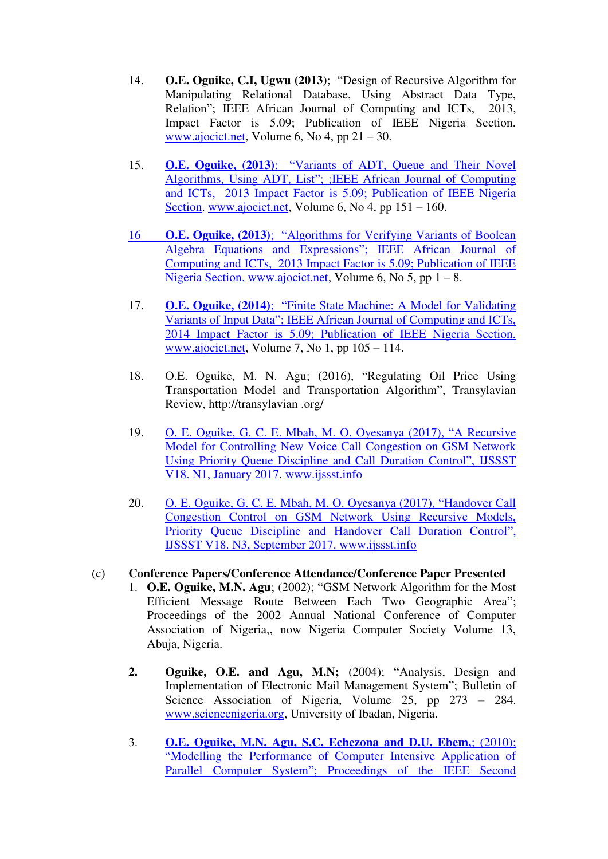- 14. **O.E. Oguike, C.I, Ugwu (2013)**; "Design of Recursive Algorithm for Manipulating Relational Database, Using Abstract Data Type, Relation"; IEEE African Journal of Computing and ICTs, 2013, Impact Factor is 5.09; Publication of IEEE Nigeria Section. [www.ajocict.net,](http://www.ajocict.net/) Volume 6, No 4, pp 21 – 30.
- 15. **O.E. Oguike, (2013)**; "[Variants of ADT, Queue and Their Novel](https://scholar.google.com/scholar?oi=bibs&cluster=3011226588589415321&btnI=1&hl=en)  Algorithms, Using ADT, List"[; ;IEEE African Journal of Computing](https://scholar.google.com/scholar?oi=bibs&cluster=3011226588589415321&btnI=1&hl=en)  [and ICTs, 2013 Impact Factor is 5.09; Publication of IEEE Nigeria](https://scholar.google.com/scholar?oi=bibs&cluster=3011226588589415321&btnI=1&hl=en)  [Section.](https://scholar.google.com/scholar?oi=bibs&cluster=3011226588589415321&btnI=1&hl=en) [www.ajocict.net,](http://www.ajocict.net/) Volume 6, No 4, pp 151 – 160.
- 16 **O.E. Oguike, (2013)**; "[Algorithms for Verifying Variants of Boolean](https://scholar.google.com/scholar?oi=bibs&cluster=14079795370107765331&btnI=1&hl=en)  [Algebra Equations and Expressions](https://scholar.google.com/scholar?oi=bibs&cluster=14079795370107765331&btnI=1&hl=en)"; IEEE African Journal of [Computing and ICTs, 2013 Impact Factor is 5.09; Publication of IEEE](https://scholar.google.com/scholar?oi=bibs&cluster=14079795370107765331&btnI=1&hl=en)  [Nigeria Section.](https://scholar.google.com/scholar?oi=bibs&cluster=14079795370107765331&btnI=1&hl=en) [www.ajocict.net,](http://www.ajocict.net/) Volume 6, No 5, pp  $1 - 8$ .
- 17. **O.E. Oguike, (2014)**; "[Finite State Machine: A Model for Validating](https://scholar.google.com/scholar?oi=bibs&cluster=9301944433302966073&btnI=1&hl=en)  Variants of Input Data"[; IEEE African Journal of Computing and ICTs,](https://scholar.google.com/scholar?oi=bibs&cluster=9301944433302966073&btnI=1&hl=en)  [2014 Impact Factor is 5.09; Publication of IEEE Nigeria Section.](https://scholar.google.com/scholar?oi=bibs&cluster=9301944433302966073&btnI=1&hl=en) [www.ajocict.net,](http://www.ajocict.net/) Volume 7, No 1, pp 105 – 114.
- 18. O.E. Oguike, M. N. Agu; (2016), "Regulating Oil Price Using Transportation Model and Transportation Algorithm", Transylavian Review, http://transylavian .org/
- 19. [O. E. Oguike, G. C. E. Mbah, M. O. Oyesanya \(2017\),](https://scholar.google.com/scholar?oi=bibs&cluster=15562672692992588261&btnI=1&hl=en) "A Recursive [Model for Controlling New Voice Call Congestion on GSM Network](https://scholar.google.com/scholar?oi=bibs&cluster=15562672692992588261&btnI=1&hl=en)  [Using Priority Queue Discipline and Call Duration Control](https://scholar.google.com/scholar?oi=bibs&cluster=15562672692992588261&btnI=1&hl=en)", IJSSST [V18. N1, January 2017.](https://scholar.google.com/scholar?oi=bibs&cluster=15562672692992588261&btnI=1&hl=en) [www.ijssst.info](http://www.ijssst.info/)
- 20. O. E. Oguike, G. C. E. Mbah, M. O. Oyesanya (2017), "Handover Call Congestion Control on GSM Network Using Recursive Models, Priority Queue Discipline and Handover Call Duration Control", IJSSST V18. N3, September 2017. www.ijssst.info

### (c) **Conference Papers/Conference Attendance/Conference Paper Presented**

- 1. **O.E. Oguike, M.N. Agu**; (2002); "GSM Network Algorithm for the Most Efficient Message Route Between Each Two Geographic Area"; Proceedings of the 2002 Annual National Conference of Computer Association of Nigeria,, now Nigeria Computer Society Volume 13, Abuja, Nigeria.
- **2. Oguike, O.E. and Agu, M.N;** (2004); "Analysis, Design and Implementation of Electronic Mail Management System"; Bulletin of Science Association of Nigeria, Volume 25, pp 273 – 284. [www.sciencenigeria.org,](http://www.sciencenigeria.org/) University of Ibadan, Nigeria.
- 3. **O.E. Oguike, M.N. Agu, S.C. Echezona and D.U. Ebem,**; (2010); "Modelling the Performance of Computer Intensive Application of Parallel Computer System"; Proceedings of the IEEE Second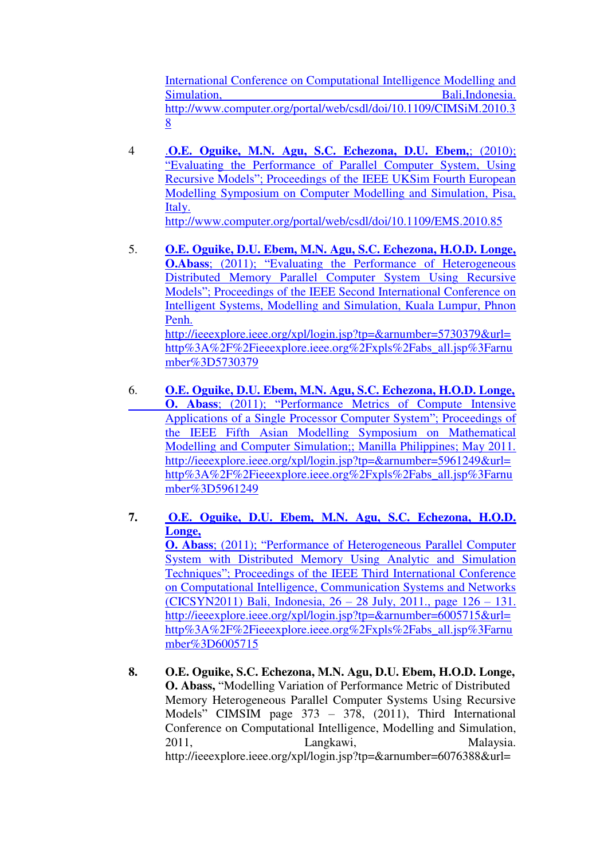International Conference on Computational Intelligence Modelling and Simulation, Bali,Indonesia. http://www.computer.org/portal/web/csdl/doi/10.1109/CIMSiM.2010.3 8

- 4 .**[O.E. Oguike, M.N. Agu, S.C. Echezona, D.U. Ebem,](https://scholar.google.com/scholar?oi=bibs&cluster=1372490798290018872&btnI=1&hl=en)**; (2010); "[Evaluating the Performance of Parallel Computer System, Using](https://scholar.google.com/scholar?oi=bibs&cluster=1372490798290018872&btnI=1&hl=en)  Recursive Models"[; Proceedings of the IEEE UKSim Fourth European](https://scholar.google.com/scholar?oi=bibs&cluster=1372490798290018872&btnI=1&hl=en)  [Modelling Symposium on Computer Modelling and Simulation, Pisa,](https://scholar.google.com/scholar?oi=bibs&cluster=1372490798290018872&btnI=1&hl=en)  [Italy.](https://scholar.google.com/scholar?oi=bibs&cluster=1372490798290018872&btnI=1&hl=en)  [http://www.computer.org/portal/web/csdl/doi/10.1109/EMS.2010.85](https://scholar.google.com/scholar?oi=bibs&cluster=1372490798290018872&btnI=1&hl=en)
- 5. **[O.E. Oguike, D.U. Ebem, M.N. Agu, S.C. Echezona, H.O.D. Longe,](https://scholar.google.com/scholar?oi=bibs&cluster=7672212533234193349&btnI=1&hl=en)  O.Abass**; (2011); "Evaluating the Performance of Heterogeneous [Distributed Memory Parallel Computer System Using Recursive](https://scholar.google.com/scholar?oi=bibs&cluster=7672212533234193349&btnI=1&hl=en)  Models"[; Proceedings of the IEEE Second International Conference on](https://scholar.google.com/scholar?oi=bibs&cluster=7672212533234193349&btnI=1&hl=en)  [Intelligent Systems, Modelling and Simulation, Kuala Lumpur, Phnon](https://scholar.google.com/scholar?oi=bibs&cluster=7672212533234193349&btnI=1&hl=en)  [Penh.](https://scholar.google.com/scholar?oi=bibs&cluster=7672212533234193349&btnI=1&hl=en)  [http://ieeexplore.ieee.org/xpl/login.jsp?tp=&arnumber=5730379&url=](https://scholar.google.com/scholar?oi=bibs&cluster=7672212533234193349&btnI=1&hl=en) [http%3A%2F%2Fieeexplore.ieee.org%2Fxpls%2Fabs\\_all.jsp%3Farnu](https://scholar.google.com/scholar?oi=bibs&cluster=7672212533234193349&btnI=1&hl=en) [mber%3D5730379](https://scholar.google.com/scholar?oi=bibs&cluster=7672212533234193349&btnI=1&hl=en)
- 6. **[O.E. Oguike, D.U. Ebem, M.N. Agu, S.C. Echezona, H.O.D. Longe,](https://scholar.google.com/scholar?oi=bibs&cluster=4710347277693809486&btnI=1&hl=en)  O. Abass**; (2011); "[Performance Metrics of Compute Intensive](https://scholar.google.com/scholar?oi=bibs&cluster=4710347277693809486&btnI=1&hl=en)  [Applications of a Single Processor Computer System](https://scholar.google.com/scholar?oi=bibs&cluster=4710347277693809486&btnI=1&hl=en)"; Proceedings of [the IEEE Fifth Asian Modelling Symposium on Mathematical](https://scholar.google.com/scholar?oi=bibs&cluster=4710347277693809486&btnI=1&hl=en)  [Modelling and Computer Simulation;; Manilla Philippines; May 2011.](https://scholar.google.com/scholar?oi=bibs&cluster=4710347277693809486&btnI=1&hl=en)  [http://ieeexplore.ieee.org/xpl/login.jsp?tp=&arnumber=5961249&url=](https://scholar.google.com/scholar?oi=bibs&cluster=4710347277693809486&btnI=1&hl=en) [http%3A%2F%2Fieeexplore.ieee.org%2Fxpls%2Fabs\\_all.jsp%3Farnu](https://scholar.google.com/scholar?oi=bibs&cluster=4710347277693809486&btnI=1&hl=en) [mber%3D5961249](https://scholar.google.com/scholar?oi=bibs&cluster=4710347277693809486&btnI=1&hl=en)
- **7. [O.E. Oguike, D.U. Ebem, M.N. Agu, S.C. Echezona, H.O.D.](https://scholar.google.com/scholar?oi=bibs&cluster=14754849637528377034&btnI=1&hl=en)  [Longe,](https://scholar.google.com/scholar?oi=bibs&cluster=14754849637528377034&btnI=1&hl=en)  O. Abass**; (2011); "[Performance of Heterogeneous Parallel Computer](https://scholar.google.com/scholar?oi=bibs&cluster=14754849637528377034&btnI=1&hl=en)

[System with Distributed Memory Using Analytic and Simulation](https://scholar.google.com/scholar?oi=bibs&cluster=14754849637528377034&btnI=1&hl=en)  Techniques"[; Proceedings of the IEEE Third International Conference](https://scholar.google.com/scholar?oi=bibs&cluster=14754849637528377034&btnI=1&hl=en)  [on Computational Intelligence, Communication Systems and Networks](https://scholar.google.com/scholar?oi=bibs&cluster=14754849637528377034&btnI=1&hl=en)  [\(CICSYN2011\) Bali, Indonesia, 26](https://scholar.google.com/scholar?oi=bibs&cluster=14754849637528377034&btnI=1&hl=en) – 28 July, 2011., page 126 – 131. [http://ieeexplore.ieee.org/xpl/login.jsp?tp=&arnumber=6005715&url=](https://scholar.google.com/scholar?oi=bibs&cluster=14754849637528377034&btnI=1&hl=en) [http%3A%2F%2Fieeexplore.ieee.org%2Fxpls%2Fabs\\_all.jsp%3Farnu](https://scholar.google.com/scholar?oi=bibs&cluster=14754849637528377034&btnI=1&hl=en) [mber%3D6005715](https://scholar.google.com/scholar?oi=bibs&cluster=14754849637528377034&btnI=1&hl=en) 

**8. O.E. Oguike, S.C. Echezona, M.N. Agu, D.U. Ebem, H.O.D. Longe, O. Abass,** "Modelling Variation of Performance Metric of Distributed Memory Heterogeneous Parallel Computer Systems Using Recursive Models" CIMSIM page 373 – 378, (2011), Third International Conference on Computational Intelligence, Modelling and Simulation, 2011, Langkawi, Malaysia. http://ieeexplore.ieee.org/xpl/login.jsp?tp=&arnumber=6076388&url=